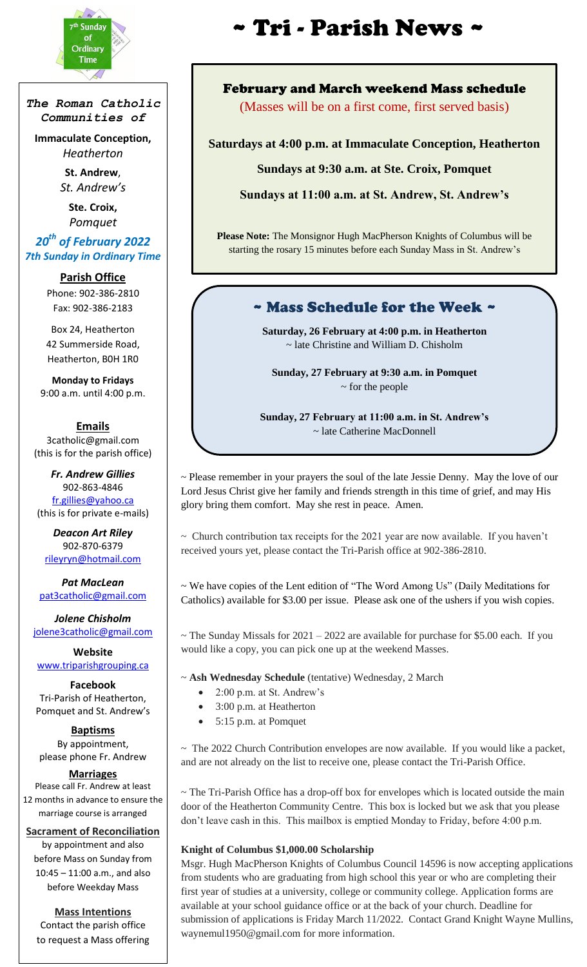

*The Roman Catholic Communities of*

**Immaculate Conception,** *Heatherton*

> **St. Andrew**, *St. Andrew's*

**Ste. Croix,** *Pomquet*

## *20th of February 2022 7th Sunday in Ordinary Time*

**Parish Office** Phone: 902-386-2810 Fax: 902-386-2183

Box 24, Heatherton 42 Summerside Road, Heatherton, B0H 1R0

**Monday to Fridays** 9:00 a.m. until 4:00 p.m.

#### **Emails**

3catholic@gmail.com (this is for the parish office)

*Fr. Andrew Gillies* 902-863-4846 [fr.gillies@yahoo.ca](mailto:fr.gillies@yahoo.ca) (this is for private e-mails)

*Deacon Art Riley* 902-870-6379 [rileyryn@hotmail.com](mailto:rileyryn@hotmail.com)

*Pat MacLean* [pat3catholic@gmail.com](mailto:rileyryn@hotmail.com)

*Jolene Chisholm* [jolene3catholic@gmail.com](mailto:jolene3catholic@gmail.com)

**Website** [www.triparishgrouping.ca](http://www.triparishgrouping.ca/)

**Facebook** Tri-Parish of Heatherton, Pomquet and St. Andrew's

**Baptisms** By appointment, please phone Fr. Andrew

**Marriages** Please call Fr. Andrew at least 12 months in advance to ensure the marriage course is arranged

#### **Sacrament of Reconciliation**

by appointment and also before Mass on Sunday from 10:45 – 11:00 a.m., and also before Weekday Mass

**Mass Intentions** Contact the parish office to request a Mass offering

# $\mathbf{r} = \begin{bmatrix} \mathbf{r} & \mathbf{r} & \mathbf{r} \\ \mathbf{r} & \mathbf{r} & \mathbf{r} \\ \mathbf{r} & \mathbf{r} & \mathbf{r} \end{bmatrix}$   $\mathbf{r} = \begin{bmatrix} \mathbf{r} & \mathbf{r} & \mathbf{r} \\ \mathbf{r} & \mathbf{r} & \mathbf{r} \end{bmatrix}$  $\mathbf{r} = \begin{bmatrix} \mathbf{r} & \mathbf{r} & \mathbf{r} \\ \mathbf{r} & \mathbf{r} & \mathbf{r} \end{bmatrix}$

## February and March weekend Mass schedule

(Masses will be on a first come, first served basis)

**Saturdays at 4:00 p.m. at Immaculate Conception, Heatherton**

**Sundays at 9:30 a.m. at Ste. Croix, Pomquet**

**Sundays at 11:00 a.m. at St. Andrew, St. Andrew's**

**Please Note:** The Monsignor Hugh MacPherson Knights of Columbus will be starting the rosary 15 minutes before each Sunday Mass in St. Andrew's

# ~ Mass Schedule for the Week ~

**Saturday, 26 February at 4:00 p.m. in Heatherton**  ~ late Christine and William D. Chisholm

**Sunday, 27 February at 9:30 a.m. in Pomquet**  ~ for the people

**Sunday, 27 February at 11:00 a.m. in St. Andrew's**  ~ late Catherine MacDonnell

~ Please remember in your prayers the soul of the late Jessie Denny. May the love of our Lord Jesus Christ give her family and friends strength in this time of grief, and may His glory bring them comfort. May she rest in peace. Amen.

 $\sim$  Church contribution tax receipts for the 2021 year are now available. If you haven't received yours yet, please contact the Tri-Parish office at 902-386-2810.

~ We have copies of the Lent edition of "The Word Among Us" (Daily Meditations for Catholics) available for \$3.00 per issue. Please ask one of the ushers if you wish copies.

 $\sim$  The Sunday Missals for 2021 – 2022 are available for purchase for \$5.00 each. If you would like a copy, you can pick one up at the weekend Masses.

~ **Ash Wednesday Schedule** (tentative) Wednesday, 2 March

- 2:00 p.m. at St. Andrew's
- 3:00 p.m. at Heatherton
- 5:15 p.m. at Pomquet

 $\sim$  The 2022 Church Contribution envelopes are now available. If you would like a packet, and are not already on the list to receive one, please contact the Tri-Parish Office.

 $\sim$  The Tri-Parish Office has a drop-off box for envelopes which is located outside the main door of the Heatherton Community Centre. This box is locked but we ask that you please don't leave cash in this. This mailbox is emptied Monday to Friday, before 4:00 p.m.

#### **Knight of Columbus \$1,000.00 Scholarship**

Msgr. Hugh MacPherson Knights of Columbus Council 14596 is now accepting applications from students who are graduating from high school this year or who are completing their first year of studies at a university, college or community college. Application forms are available at your school guidance office or at the back of your church. Deadline for submission of applications is Friday March 11/2022. Contact Grand Knight Wayne Mullins, waynemul1950@gmail.com for more information.